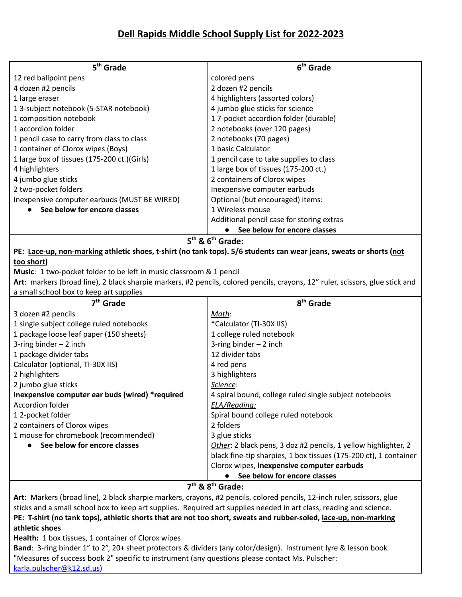| 5 <sup>th</sup> Grade                        | 6 <sup>th</sup> Grade                     |
|----------------------------------------------|-------------------------------------------|
| 12 red ballpoint pens                        | colored pens                              |
| 4 dozen #2 pencils                           | 2 dozen #2 pencils                        |
| 1 large eraser                               | 4 highlighters (assorted colors)          |
| 13-subject notebook (5-STAR notebook)        | 4 jumbo glue sticks for science           |
| 1 composition notebook                       | 17-pocket accordion folder (durable)      |
| 1 accordion folder                           | 2 notebooks (over 120 pages)              |
| 1 pencil case to carry from class to class   | 2 notebooks (70 pages)                    |
| 1 container of Clorox wipes (Boys)           | 1 basic Calculator                        |
| 1 large box of tissues (175-200 ct.)(Girls)  | 1 pencil case to take supplies to class   |
| 4 highlighters                               | 1 large box of tissues (175-200 ct.)      |
| 4 jumbo glue sticks                          | 2 containers of Clorox wipes              |
| 2 two-pocket folders                         | Inexpensive computer earbuds              |
| Inexpensive computer earbuds (MUST BE WIRED) | Optional (but encouraged) items:          |
| • See below for encore classes               | 1 Wireless mouse                          |
|                                              | Additional pencil case for storing extras |
|                                              | See below for encore classes              |
| $5th$ & $6th$ Grade:                         |                                           |

PE: Lace-up, non-marking athletic shoes, t-shirt (no tank tops). 5/6 students can wear jeans, sweats or shorts (not **too short)**

**Music**: 1 two-pocket folder to be left in music classroom & 1 pencil

**Art**: markers (broad line), 2 black sharpie markers, #2 pencils, colored pencils, crayons, 12" ruler, scissors, glue stick and a small school box to keep art supplies

| $7th$ Grade                                     | 8 <sup>th</sup> Grade                                            |
|-------------------------------------------------|------------------------------------------------------------------|
| 3 dozen #2 pencils                              | Math:                                                            |
| 1 single subject college ruled notebooks        | *Calculator (TI-30X IIS)                                         |
| 1 package loose leaf paper (150 sheets)         | 1 college ruled notebook                                         |
| 3-ring binder $-2$ inch                         | 3-ring binder $-2$ inch                                          |
| 1 package divider tabs                          | 12 divider tabs                                                  |
| Calculator (optional, TI-30X IIS)               | 4 red pens                                                       |
| 2 highlighters                                  | 3 highlighters                                                   |
| 2 jumbo glue sticks                             | Science:                                                         |
| Inexpensive computer ear buds (wired) *required | 4 spiral bound, college ruled single subject notebooks           |
| Accordion folder                                | <b>ELA/Reading:</b>                                              |
| 12-pocket folder                                | Spiral bound college ruled notebook                              |
| 2 containers of Clorox wipes                    | 2 folders                                                        |
| 1 mouse for chromebook (recommended)            | 3 glue sticks                                                    |
| See below for encore classes                    | Other: 2 black pens, 3 doz #2 pencils, 1 yellow highlighter, 2   |
|                                                 | black fine-tip sharpies, 1 box tissues (175-200 ct), 1 container |
|                                                 | Clorox wipes, inexpensive computer earbuds                       |
|                                                 | See below for encore classes                                     |
| $-th$ o oth o $\sim$ $\sim$                     |                                                                  |

**7 th & 8th Grade:**

**Art**: Markers (broad line), 2 black sharpie markers, crayons, #2 pencils, colored pencils, 12-inch ruler, scissors, glue sticks and a small school box to keep art supplies. Required art supplies needed in art class, reading and science. PE: T-shirt (no tank tops), athletic shorts that are not too short, sweats and rubber-soled, lace-up, non-marking **athletic shoes Health:** 1 box tissues, 1 container of Clorox wipes

**Band**: 3-ring binder 1" to 2", 20+ sheet protectors & dividers (any color/design). Instrument lyre & lesson book "Measures of success book 2" specific to instrument (any questions please contact Ms. Pulscher: [karla.pulscher@k12.sd.us](mailto:karla.pulscher@k12.sd.us))